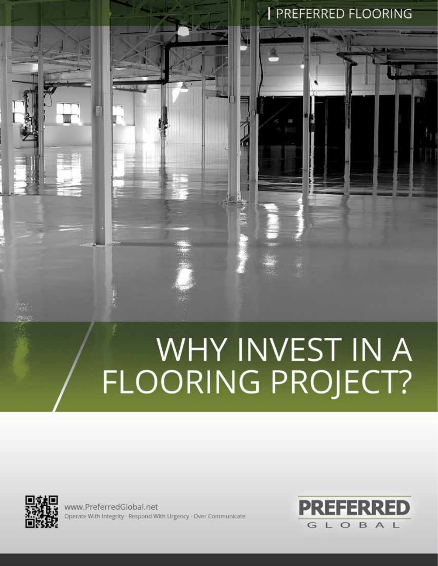## WHY INVEST IN A<br>FLOORING PROJECT?



www.PreferredGlobal.net Operate With Integrity · Respond With Urgency · Over Communicate



**PREFERRED FLOORING**